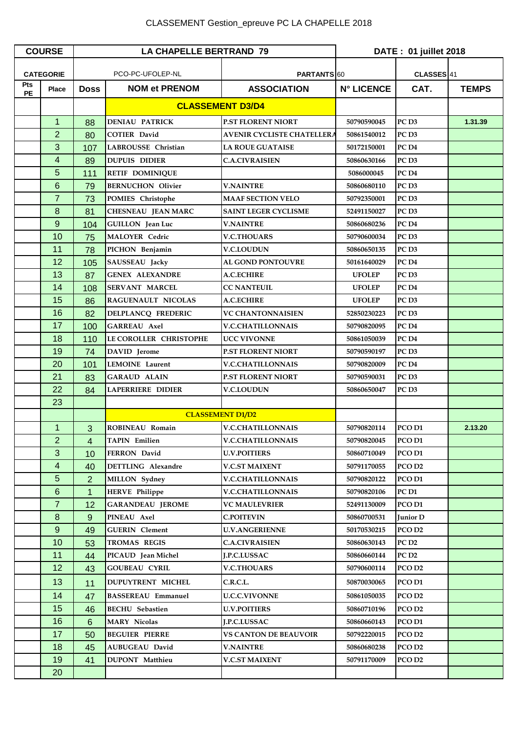| <b>COURSE</b>    |                 | <b>LA CHAPELLE BERTRAND 79</b>  |                           |                                   | DATE: 01 juillet 2018 |                       |              |
|------------------|-----------------|---------------------------------|---------------------------|-----------------------------------|-----------------------|-----------------------|--------------|
| <b>CATEGORIE</b> |                 | PCO-PC-UFOLEP-NL<br>PARTANTS 60 |                           |                                   |                       | CLASSES <sup>41</sup> |              |
| Pts              | <b>Place</b>    | <b>Doss</b>                     | <b>NOM et PRENOM</b>      | <b>ASSOCIATION</b>                | <b>N° LICENCE</b>     | CAT.                  | <b>TEMPS</b> |
| <b>PE</b>        |                 |                                 | <b>CLASSEMENT D3/D4</b>   |                                   |                       |                       |              |
|                  |                 |                                 |                           |                                   |                       |                       |              |
|                  | $\mathbf{1}$    | 88                              | <b>DENIAU PATRICK</b>     | <b>P.ST FLORENT NIORT</b>         | 50790590045           | PC <sub>D3</sub>      | 1.31.39      |
|                  | $\overline{2}$  | 80                              | <b>COTIER David</b>       | <b>AVENIR CYCLISTE CHATELLERA</b> | 50861540012           | PC <sub>D3</sub>      |              |
|                  | 3               | 107                             | LABROUSSE Christian       | <b>LA ROUE GUATAISE</b>           | 50172150001           | PC <sub>D4</sub>      |              |
|                  | 4               | 89                              | <b>DUPUIS DIDIER</b>      | <b>C.A.CIVRAISIEN</b>             | 50860630166           | PC <sub>D3</sub>      |              |
|                  | 5               | 111                             | <b>RETIF DOMINIQUE</b>    |                                   | 5086000045            | PC <sub>D4</sub>      |              |
|                  | 6               | 79                              | <b>BERNUCHON Olivier</b>  | <b>V.NAINTRE</b>                  | 50860680110           | PC <sub>D3</sub>      |              |
|                  | $\overline{7}$  | 73                              | <b>POMIES</b> Christophe  | <b>MAAF SECTION VELO</b>          | 50792350001           | PC <sub>D3</sub>      |              |
|                  | 8               | 81                              | CHESNEAU JEAN MARC        | <b>SAINT LEGER CYCLISME</b>       | 52491150027           | PC <sub>D3</sub>      |              |
|                  | 9               | 104                             | <b>GUILLON</b> Jean Luc   | <b>V.NAINTRE</b>                  | 50860680236           | PC <sub>D4</sub>      |              |
|                  | 10              | 75                              | <b>MALOYER Cedric</b>     | <b>V.C.THOUARS</b>                | 50790600034           | PC <sub>D3</sub>      |              |
|                  | 11              | 78                              | PICHON Benjamin           | <b>V.C.LOUDUN</b>                 | 50860650135           | PC <sub>D3</sub>      |              |
|                  | 12              | 105                             | SAUSSEAU Jacky            | <b>AL GOND PONTOUVRE</b>          | 50161640029           | PC <sub>D4</sub>      |              |
|                  | 13              | 87                              | <b>GENEX ALEXANDRE</b>    | A.C.ECHIRE                        | <b>UFOLEP</b>         | PC <sub>D3</sub>      |              |
|                  | 14              | 108                             | <b>SERVANT MARCEL</b>     | <b>CC NANTEUIL</b>                | <b>UFOLEP</b>         | PC <sub>D4</sub>      |              |
|                  | 15              | 86                              | RAGUENAULT NICOLAS        | <b>A.C.ECHIRE</b>                 | <b>UFOLEP</b>         | PC <sub>D3</sub>      |              |
|                  | 16              | 82                              | DELPLANCQ FREDERIC        | <b>VC CHANTONNAISIEN</b>          | 52850230223           | PC <sub>D3</sub>      |              |
|                  | 17              | 100                             | <b>GARREAU Axel</b>       | <b>V.C.CHATILLONNAIS</b>          | 50790820095           | PC <sub>D4</sub>      |              |
|                  | 18              | 110                             | LE COROLLER CHRISTOPHE    | <b>UCC VIVONNE</b>                | 50861050039           | PC <sub>D4</sub>      |              |
|                  | 19              | 74                              | DAVID Jerome              | <b>P.ST FLORENT NIORT</b>         | 50790590197           | PC <sub>D3</sub>      |              |
|                  | 20              | 101                             | <b>LEMOINE</b> Laurent    | <b>V.C.CHATILLONNAIS</b>          | 50790820009           | PC <sub>D4</sub>      |              |
|                  | 21              | 83                              | <b>GARAUD ALAIN</b>       | <b>P.ST FLORENT NIORT</b>         | 50790590031           | PC <sub>D3</sub>      |              |
|                  | 22              | 84                              | <b>LAPERRIERE DIDIER</b>  | V.C.LOUDUN                        | 50860650047           | PC <sub>D3</sub>      |              |
|                  | 23              |                                 |                           |                                   |                       |                       |              |
|                  |                 |                                 |                           | <b>CLASSEMENT D1/D2</b>           |                       |                       |              |
|                  | $\mathbf{1}$    | 3                               | ROBINEAU Romain           | <b>V.C.CHATILLONNAIS</b>          | 50790820114           | PCO <sub>D1</sub>     | 2.13.20      |
|                  | $\overline{2}$  | 4                               | <b>TAPIN Emilien</b>      | <b>V.C.CHATILLONNAIS</b>          | 50790820045           | PCO <sub>D1</sub>     |              |
|                  | 3               | 10                              | FERRON David              | <b>U.V.POITIERS</b>               | 50860710049           | PCO D1                |              |
|                  | $\overline{4}$  | 40                              | <b>DETTLING</b> Alexandre | <b>V.C.ST MAIXENT</b>             | 50791170055           | PCO D <sub>2</sub>    |              |
|                  | 5               | $\overline{2}$                  | MILLON Sydney             | <b>V.C.CHATILLONNAIS</b>          | 50790820122           | PCO D1                |              |
|                  | $6\phantom{1}6$ | $\mathbf{1}$                    | <b>HERVE Philippe</b>     | <b>V.C.CHATILLONNAIS</b>          | 50790820106           | PC <sub>D1</sub>      |              |
|                  | $\overline{7}$  | 12                              | <b>GARANDEAU JEROME</b>   | VC MAULEVRIER                     | 52491130009           | PCO D1                |              |
|                  | 8               | 9                               | PINEAU Axel               | <b>C.POITEVIN</b>                 | 50860700531           | Junior D              |              |
|                  | $9\,$           | 49                              | <b>GUERIN</b> Clement     | <b>U.V.ANGERIENNE</b>             | 50170530215           | PCO D <sub>2</sub>    |              |
|                  | 10              | 53                              | TROMAS REGIS              | <b>C.A.CIVRAISIEN</b>             | 50860630143           | PC <sub>D2</sub>      |              |
|                  | 11              | 44                              | PICAUD Jean Michel        | J.P.C.LUSSAC                      | 50860660144           | PC <sub>D2</sub>      |              |
|                  | 12              | 43                              | <b>GOUBEAU CYRIL</b>      | <b>V.C.THOUARS</b>                | 50790600114           | PCO D <sub>2</sub>    |              |
|                  | 13              | 11                              | <b>DUPUYTRENT MICHEL</b>  | C.R.C.L.                          | 50870030065           | PCO D1                |              |
|                  | 14              | 47                              | <b>BASSEREAU Emmanuel</b> | <b>U.C.C.VIVONNE</b>              | 50861050035           | PCO D <sub>2</sub>    |              |
|                  | 15              | 46                              | <b>BECHU</b> Sebastien    | <b>U.V.POITIERS</b>               | 50860710196           | PCO D2                |              |
|                  | 16              | 6                               | <b>MARY Nicolas</b>       | J.P.C.LUSSAC                      | 50860660143           | PCO D1                |              |
|                  | 17              | 50                              | <b>BEGUIER PIERRE</b>     | <b>VS CANTON DE BEAUVOIR</b>      | 50792220015           | PCO <sub>D2</sub>     |              |
|                  | 18              | 45                              | <b>AUBUGEAU David</b>     | <b>V.NAINTRE</b>                  | 50860680238           | PCO D <sub>2</sub>    |              |
|                  | 19              | 41                              | <b>DUPONT</b> Matthieu    | <b>V.C.ST MAIXENT</b>             | 50791170009           | PCO D <sub>2</sub>    |              |
|                  | 20              |                                 |                           |                                   |                       |                       |              |